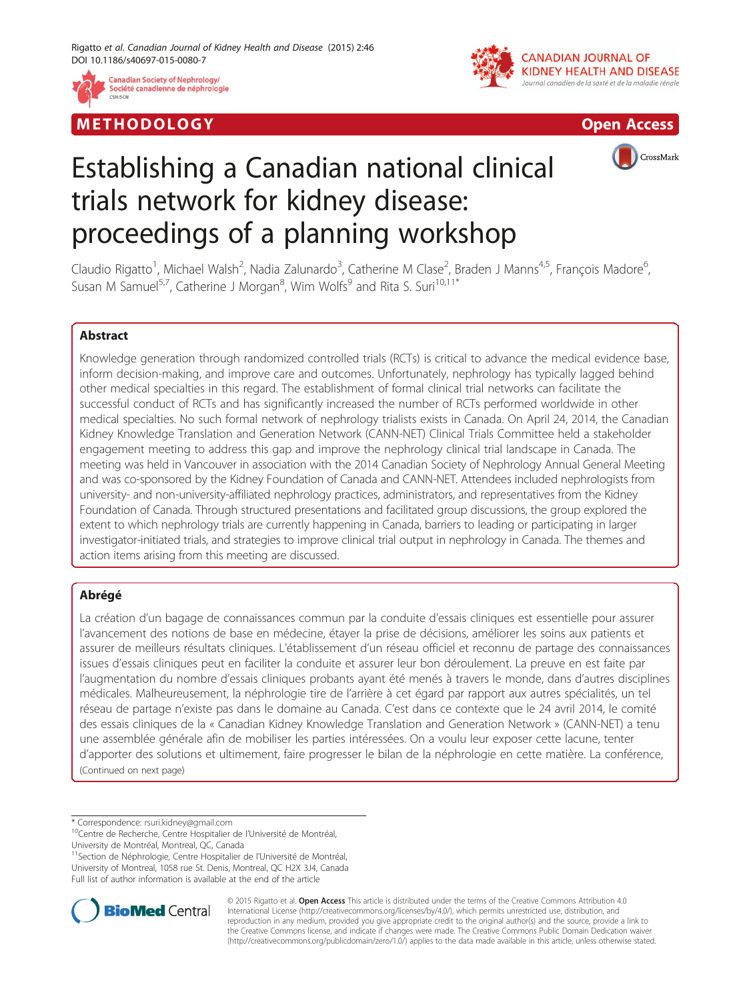

M E THODO L OGY Open Access





# Establishing a Canadian national clinical trials network for kidney disease: proceedings of a planning workshop

Claudio Rigatto<sup>1</sup>, Michael Walsh<sup>2</sup>, Nadia Zalunardo<sup>3</sup>, Catherine M Clase<sup>2</sup>, Braden J Manns<sup>4,5</sup>, François Madore<sup>6</sup> , Susan M Samuel<sup>5,7</sup>, Catherine J Morgan<sup>8</sup>, Wim Wolfs<sup>9</sup> and Rita S. Suri<sup>10,11\*</sup>

# Abstract

Knowledge generation through randomized controlled trials (RCTs) is critical to advance the medical evidence base, inform decision-making, and improve care and outcomes. Unfortunately, nephrology has typically lagged behind other medical specialties in this regard. The establishment of formal clinical trial networks can facilitate the successful conduct of RCTs and has significantly increased the number of RCTs performed worldwide in other medical specialties. No such formal network of nephrology trialists exists in Canada. On April 24, 2014, the Canadian Kidney Knowledge Translation and Generation Network (CANN-NET) Clinical Trials Committee held a stakeholder engagement meeting to address this gap and improve the nephrology clinical trial landscape in Canada. The meeting was held in Vancouver in association with the 2014 Canadian Society of Nephrology Annual General Meeting and was co-sponsored by the Kidney Foundation of Canada and CANN-NET. Attendees included nephrologists from university- and non-university-affiliated nephrology practices, administrators, and representatives from the Kidney Foundation of Canada. Through structured presentations and facilitated group discussions, the group explored the extent to which nephrology trials are currently happening in Canada, barriers to leading or participating in larger investigator-initiated trials, and strategies to improve clinical trial output in nephrology in Canada. The themes and action items arising from this meeting are discussed.

# Abrégé

La création d'un bagage de connaissances commun par la conduite d'essais cliniques est essentielle pour assurer l'avancement des notions de base en médecine, étayer la prise de décisions, améliorer les soins aux patients et assurer de meilleurs résultats cliniques. L'établissement d'un réseau officiel et reconnu de partage des connaissances issues d'essais cliniques peut en faciliter la conduite et assurer leur bon déroulement. La preuve en est faite par l'augmentation du nombre d'essais cliniques probants ayant été menés à travers le monde, dans d'autres disciplines médicales. Malheureusement, la néphrologie tire de l'arrière à cet égard par rapport aux autres spécialités, un tel réseau de partage n'existe pas dans le domaine au Canada. C'est dans ce contexte que le 24 avril 2014, le comité des essais cliniques de la « Canadian Kidney Knowledge Translation and Generation Network » (CANN-NET) a tenu une assemblée générale afin de mobiliser les parties intéressées. On a voulu leur exposer cette lacune, tenter d'apporter des solutions et ultimement, faire progresser le bilan de la néphrologie en cette matière. La conférence, (Continued on next page)

<sup>11</sup>Section de Néphrologie, Centre Hospitalier de l'Université de Montréal, University of Montreal, 1058 rue St. Denis, Montreal, QC H2X 3J4, Canada Full list of author information is available at the end of the article



© 2015 Rigatto et al. Open Access This article is distributed under the terms of the Creative Commons Attribution 4.0 International License [\(http://creativecommons.org/licenses/by/4.0/](http://creativecommons.org/licenses/by/4.0/)), which permits unrestricted use, distribution, and reproduction in any medium, provided you give appropriate credit to the original author(s) and the source, provide a link to the Creative Commons license, and indicate if changes were made. The Creative Commons Public Domain Dedication waiver [\(http://creativecommons.org/publicdomain/zero/1.0/](http://creativecommons.org/publicdomain/zero/1.0/)) applies to the data made available in this article, unless otherwise stated.

<sup>\*</sup> Correspondence: [rsuri.kidney@gmail.com](mailto:rsuri.kidney@gmail.com)<br><sup>10</sup>Centre de Recherche, Centre Hospitalier de l'Université de Montréal, University de Montréal, Montreal, QC, Canada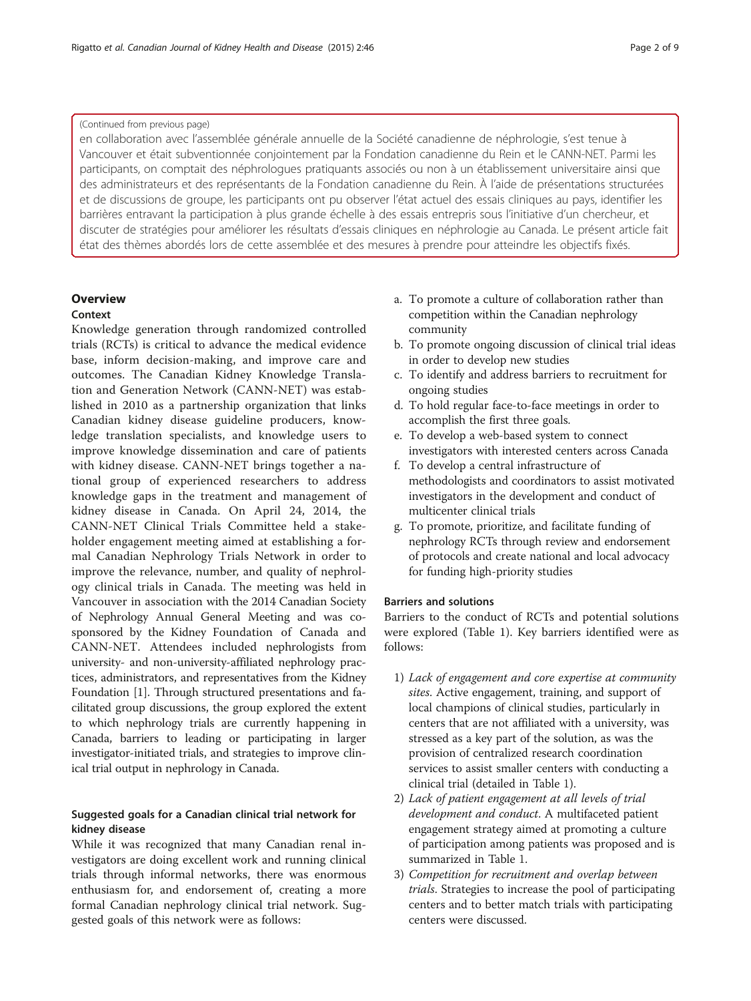### (Continued from previous page)

en collaboration avec l'assemblée générale annuelle de la Société canadienne de néphrologie, s'est tenue à Vancouver et était subventionnée conjointement par la Fondation canadienne du Rein et le CANN-NET. Parmi les participants, on comptait des néphrologues pratiquants associés ou non à un établissement universitaire ainsi que des administrateurs et des représentants de la Fondation canadienne du Rein. À l'aide de présentations structurées et de discussions de groupe, les participants ont pu observer l'état actuel des essais cliniques au pays, identifier les barrières entravant la participation à plus grande échelle à des essais entrepris sous l'initiative d'un chercheur, et discuter de stratégies pour améliorer les résultats d'essais cliniques en néphrologie au Canada. Le présent article fait état des thèmes abordés lors de cette assemblée et des mesures à prendre pour atteindre les objectifs fixés.

# **Overview**

# Context

Knowledge generation through randomized controlled trials (RCTs) is critical to advance the medical evidence base, inform decision-making, and improve care and outcomes. The Canadian Kidney Knowledge Translation and Generation Network (CANN-NET) was established in 2010 as a partnership organization that links Canadian kidney disease guideline producers, knowledge translation specialists, and knowledge users to improve knowledge dissemination and care of patients with kidney disease. CANN-NET brings together a national group of experienced researchers to address knowledge gaps in the treatment and management of kidney disease in Canada. On April 24, 2014, the CANN-NET Clinical Trials Committee held a stakeholder engagement meeting aimed at establishing a formal Canadian Nephrology Trials Network in order to improve the relevance, number, and quality of nephrology clinical trials in Canada. The meeting was held in Vancouver in association with the 2014 Canadian Society of Nephrology Annual General Meeting and was cosponsored by the Kidney Foundation of Canada and CANN-NET. Attendees included nephrologists from university- and non-university-affiliated nephrology practices, administrators, and representatives from the Kidney Foundation [\[1\]](#page-8-0). Through structured presentations and facilitated group discussions, the group explored the extent to which nephrology trials are currently happening in Canada, barriers to leading or participating in larger investigator-initiated trials, and strategies to improve clinical trial output in nephrology in Canada.

# Suggested goals for a Canadian clinical trial network for kidney disease

While it was recognized that many Canadian renal investigators are doing excellent work and running clinical trials through informal networks, there was enormous enthusiasm for, and endorsement of, creating a more formal Canadian nephrology clinical trial network. Suggested goals of this network were as follows:

- a. To promote a culture of collaboration rather than competition within the Canadian nephrology community
- b. To promote ongoing discussion of clinical trial ideas in order to develop new studies
- c. To identify and address barriers to recruitment for ongoing studies
- d. To hold regular face-to-face meetings in order to accomplish the first three goals.
- e. To develop a web-based system to connect investigators with interested centers across Canada
- f. To develop a central infrastructure of methodologists and coordinators to assist motivated investigators in the development and conduct of multicenter clinical trials
- g. To promote, prioritize, and facilitate funding of nephrology RCTs through review and endorsement of protocols and create national and local advocacy for funding high-priority studies

# Barriers and solutions

Barriers to the conduct of RCTs and potential solutions were explored (Table [1](#page-2-0)). Key barriers identified were as follows:

- 1) Lack of engagement and core expertise at community sites. Active engagement, training, and support of local champions of clinical studies, particularly in centers that are not affiliated with a university, was stressed as a key part of the solution, as was the provision of centralized research coordination services to assist smaller centers with conducting a clinical trial (detailed in Table [1\)](#page-2-0).
- 2) Lack of patient engagement at all levels of trial development and conduct. A multifaceted patient engagement strategy aimed at promoting a culture of participation among patients was proposed and is summarized in Table [1.](#page-2-0)
- 3) Competition for recruitment and overlap between trials. Strategies to increase the pool of participating centers and to better match trials with participating centers were discussed.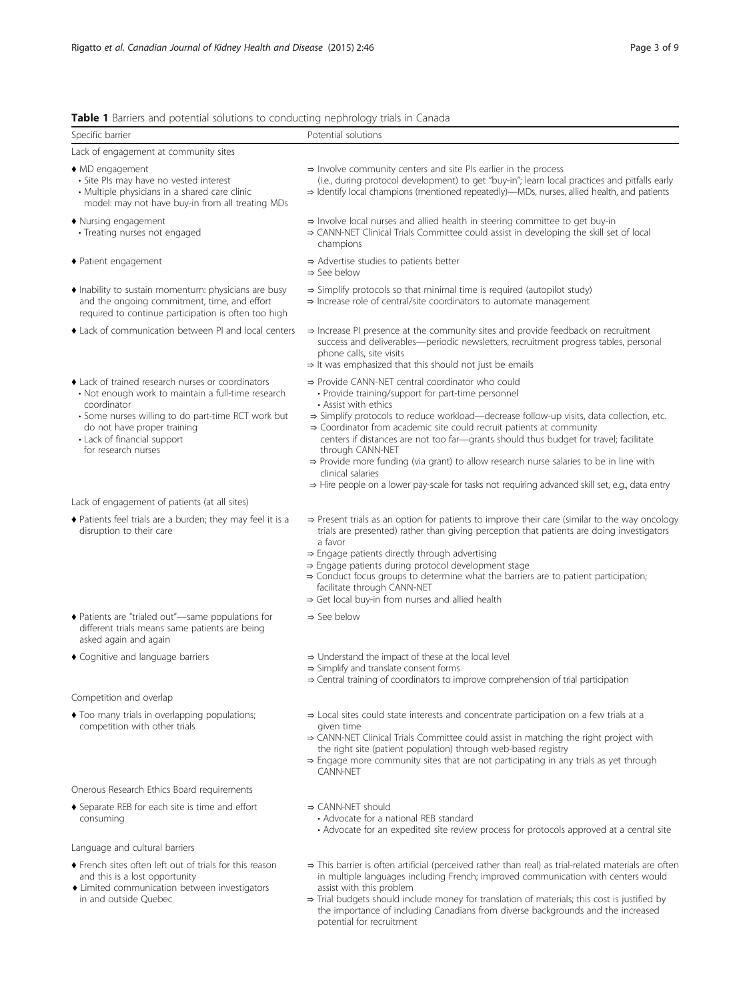<span id="page-2-0"></span>Table 1 Barriers and potential solutions to conducting nephrology trials in Canada

| Specific barrier                                                                                                                                                                                                                                                  | Potential solutions                                                                                                                                                                                                                                                                                                                                                                                                                                                                                                                                                                                                                                     |
|-------------------------------------------------------------------------------------------------------------------------------------------------------------------------------------------------------------------------------------------------------------------|---------------------------------------------------------------------------------------------------------------------------------------------------------------------------------------------------------------------------------------------------------------------------------------------------------------------------------------------------------------------------------------------------------------------------------------------------------------------------------------------------------------------------------------------------------------------------------------------------------------------------------------------------------|
| Lack of engagement at community sites                                                                                                                                                                                                                             |                                                                                                                                                                                                                                                                                                                                                                                                                                                                                                                                                                                                                                                         |
| • MD engagement<br>· Site Pls may have no vested interest<br>· Multiple physicians in a shared care clinic<br>model: may not have buy-in from all treating MDs                                                                                                    | $\Rightarrow$ Involve community centers and site PIs earlier in the process<br>(i.e., during protocol development) to get "buy-in"; learn local practices and pitfalls early<br>$\Rightarrow$ Identify local champions (mentioned repeatedly)—MDs, nurses, allied health, and patients                                                                                                                                                                                                                                                                                                                                                                  |
| • Nursing engagement<br>• Treating nurses not engaged                                                                                                                                                                                                             | $\Rightarrow$ Involve local nurses and allied health in steering committee to get buy-in<br>⇒ CANN-NET Clinical Trials Committee could assist in developing the skill set of local<br>champions                                                                                                                                                                                                                                                                                                                                                                                                                                                         |
| ◆ Patient engagement                                                                                                                                                                                                                                              | $\Rightarrow$ Advertise studies to patients better<br>$\Rightarrow$ See below                                                                                                                                                                                                                                                                                                                                                                                                                                                                                                                                                                           |
| Inability to sustain momentum: physicians are busy<br>and the ongoing commitment, time, and effort<br>required to continue participation is often too high                                                                                                        | $\Rightarrow$ Simplify protocols so that minimal time is required (autopilot study)<br>$\Rightarrow$ Increase role of central/site coordinators to automate management                                                                                                                                                                                                                                                                                                                                                                                                                                                                                  |
| Lack of communication between PI and local centers                                                                                                                                                                                                                | $\Rightarrow$ Increase PI presence at the community sites and provide feedback on recruitment<br>success and deliverables-periodic newsletters, recruitment progress tables, personal<br>phone calls, site visits<br>$\Rightarrow$ It was emphasized that this should not just be emails                                                                                                                                                                                                                                                                                                                                                                |
| • Lack of trained research nurses or coordinators<br>• Not enough work to maintain a full-time research<br>coordinator<br>• Some nurses willing to do part-time RCT work but<br>do not have proper training<br>• Lack of financial support<br>for research nurses | $\Rightarrow$ Provide CANN-NET central coordinator who could<br>• Provide training/support for part-time personnel<br>• Assist with ethics<br>⇒ Simplify protocols to reduce workload—decrease follow-up visits, data collection, etc.<br>Soordinator from academic site could recruit patients at community<br>centers if distances are not too far-grants should thus budget for travel; facilitate<br>through CANN-NET<br>$\Rightarrow$ Provide more funding (via grant) to allow research nurse salaries to be in line with<br>clinical salaries<br>⇒ Hire people on a lower pay-scale for tasks not requiring advanced skill set, e.g., data entry |
| Lack of engagement of patients (at all sites)                                                                                                                                                                                                                     |                                                                                                                                                                                                                                                                                                                                                                                                                                                                                                                                                                                                                                                         |
| ◆ Patients feel trials are a burden; they may feel it is a<br>disruption to their care                                                                                                                                                                            | $\Rightarrow$ Present trials as an option for patients to improve their care (similar to the way oncology<br>trials are presented) rather than giving perception that patients are doing investigators<br>a favor<br>$\Rightarrow$ Engage patients directly through advertising<br>⇒ Engage patients during protocol development stage<br>⇒ Conduct focus groups to determine what the barriers are to patient participation;<br>facilitate through CANN-NET<br>Set local buy-in from nurses and allied health                                                                                                                                          |
| ◆ Patients are "trialed out"—same populations for<br>different trials means same patients are being<br>asked again and again                                                                                                                                      | $\Rightarrow$ See below                                                                                                                                                                                                                                                                                                                                                                                                                                                                                                                                                                                                                                 |
| ◆ Cognitive and language barriers                                                                                                                                                                                                                                 | $\Rightarrow$ Understand the impact of these at the local level<br>⇒ Simplify and translate consent forms<br>⇒ Central training of coordinators to improve comprehension of trial participation                                                                                                                                                                                                                                                                                                                                                                                                                                                         |
| Competition and overlap                                                                                                                                                                                                                                           |                                                                                                                                                                                                                                                                                                                                                                                                                                                                                                                                                                                                                                                         |
| • Too many trials in overlapping populations;<br>competition with other trials                                                                                                                                                                                    | $\Rightarrow$ Local sites could state interests and concentrate participation on a few trials at a<br>given time<br>⇒ CANN-NET Clinical Trials Committee could assist in matching the right project with<br>the right site (patient population) through web-based registry<br>$\Rightarrow$ Engage more community sites that are not participating in any trials as yet through<br>CANN-NET                                                                                                                                                                                                                                                             |
| Onerous Research Ethics Board requirements                                                                                                                                                                                                                        |                                                                                                                                                                                                                                                                                                                                                                                                                                                                                                                                                                                                                                                         |
| ◆ Separate REB for each site is time and effort<br>consuming                                                                                                                                                                                                      | $\Rightarrow$ CANN-NET should<br>• Advocate for a national REB standard<br>• Advocate for an expedited site review process for protocols approved at a central site                                                                                                                                                                                                                                                                                                                                                                                                                                                                                     |
| Language and cultural barriers                                                                                                                                                                                                                                    |                                                                                                                                                                                                                                                                                                                                                                                                                                                                                                                                                                                                                                                         |
| ◆ French sites often left out of trials for this reason<br>and this is a lost opportunity<br>• Limited communication between investigators<br>in and outside Quebec                                                                                               | $\Rightarrow$ This barrier is often artificial (perceived rather than real) as trial-related materials are often<br>in multiple languages including French; improved communication with centers would<br>assist with this problem<br>$\Rightarrow$ Trial budgets should include money for translation of materials; this cost is justified by<br>the importance of including Canadians from diverse backgrounds and the increased<br>potential for recruitment                                                                                                                                                                                          |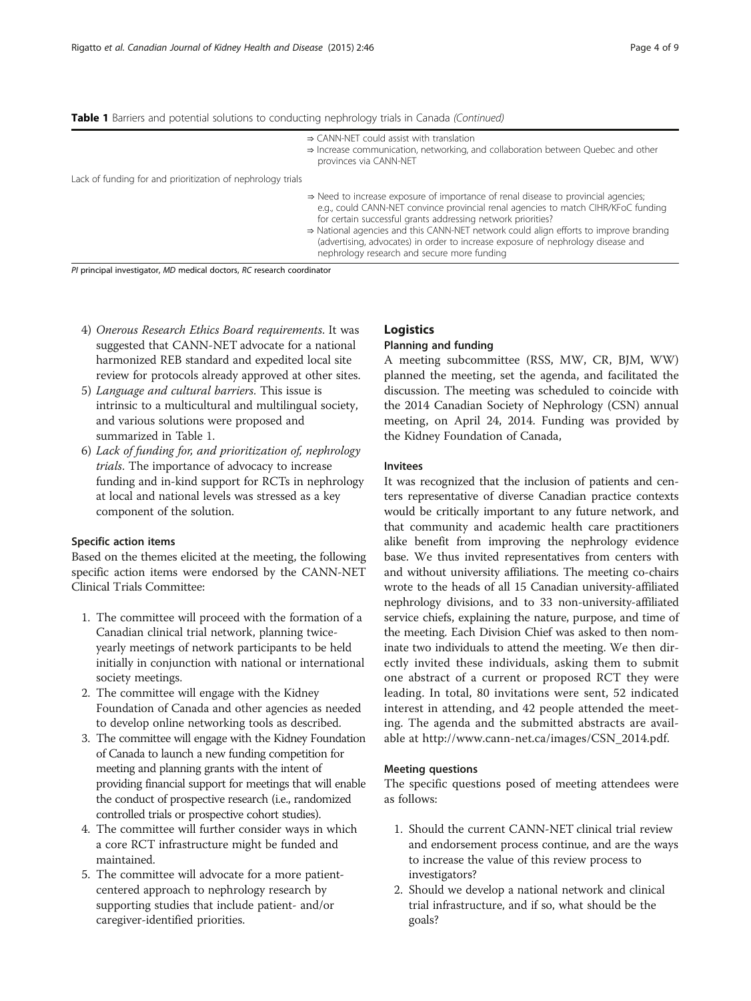| <b>Table 1</b> Barriers and potential solutions to conducting nephrology trials in Canada <i>(Continued)</i> |  |
|--------------------------------------------------------------------------------------------------------------|--|
|--------------------------------------------------------------------------------------------------------------|--|

|                                                             | $\Rightarrow$ CANN-NET could assist with translation<br>⇒ Increase communication, networking, and collaboration between Quebec and other<br>provinces via CANN-NET                                                                                                                                                                                                                                                                                                                           |
|-------------------------------------------------------------|----------------------------------------------------------------------------------------------------------------------------------------------------------------------------------------------------------------------------------------------------------------------------------------------------------------------------------------------------------------------------------------------------------------------------------------------------------------------------------------------|
| Lack of funding for and prioritization of nephrology trials |                                                                                                                                                                                                                                                                                                                                                                                                                                                                                              |
|                                                             | $\Rightarrow$ Need to increase exposure of importance of renal disease to provincial agencies;<br>e.g., could CANN-NET convince provincial renal agencies to match CIHR/KFoC funding<br>for certain successful grants addressing network priorities?<br>$\Rightarrow$ National agencies and this CANN-NET network could align efforts to improve branding<br>(advertising, advocates) in order to increase exposure of nephrology disease and<br>nephrology research and secure more funding |

PI principal investigator, MD medical doctors, RC research coordinator

- 4) Onerous Research Ethics Board requirements. It was suggested that CANN-NET advocate for a national harmonized REB standard and expedited local site review for protocols already approved at other sites.
- 5) Language and cultural barriers. This issue is intrinsic to a multicultural and multilingual society, and various solutions were proposed and summarized in Table [1](#page-2-0).
- 6) Lack of funding for, and prioritization of, nephrology trials. The importance of advocacy to increase funding and in-kind support for RCTs in nephrology at local and national levels was stressed as a key component of the solution.

#### Specific action items

Based on the themes elicited at the meeting, the following specific action items were endorsed by the CANN-NET Clinical Trials Committee:

- 1. The committee will proceed with the formation of a Canadian clinical trial network, planning twiceyearly meetings of network participants to be held initially in conjunction with national or international society meetings.
- 2. The committee will engage with the Kidney Foundation of Canada and other agencies as needed to develop online networking tools as described.
- 3. The committee will engage with the Kidney Foundation of Canada to launch a new funding competition for meeting and planning grants with the intent of providing financial support for meetings that will enable the conduct of prospective research (i.e., randomized controlled trials or prospective cohort studies).
- 4. The committee will further consider ways in which a core RCT infrastructure might be funded and maintained.
- 5. The committee will advocate for a more patientcentered approach to nephrology research by supporting studies that include patient- and/or caregiver-identified priorities.

# Logistics

## Planning and funding

A meeting subcommittee (RSS, MW, CR, BJM, WW) planned the meeting, set the agenda, and facilitated the discussion. The meeting was scheduled to coincide with the 2014 Canadian Society of Nephrology (CSN) annual meeting, on April 24, 2014. Funding was provided by the Kidney Foundation of Canada,

#### Invitees

It was recognized that the inclusion of patients and centers representative of diverse Canadian practice contexts would be critically important to any future network, and that community and academic health care practitioners alike benefit from improving the nephrology evidence base. We thus invited representatives from centers with and without university affiliations. The meeting co-chairs wrote to the heads of all 15 Canadian university-affiliated nephrology divisions, and to 33 non-university-affiliated service chiefs, explaining the nature, purpose, and time of the meeting. Each Division Chief was asked to then nominate two individuals to attend the meeting. We then directly invited these individuals, asking them to submit one abstract of a current or proposed RCT they were leading. In total, 80 invitations were sent, 52 indicated interest in attending, and 42 people attended the meeting. The agenda and the submitted abstracts are available at [http://www.cann-net.ca/images/CSN\\_2014.pdf](http://www.cann-net.ca/images/CSN_2014.pdf).

## Meeting questions

The specific questions posed of meeting attendees were as follows:

- 1. Should the current CANN-NET clinical trial review and endorsement process continue, and are the ways to increase the value of this review process to investigators?
- 2. Should we develop a national network and clinical trial infrastructure, and if so, what should be the goals?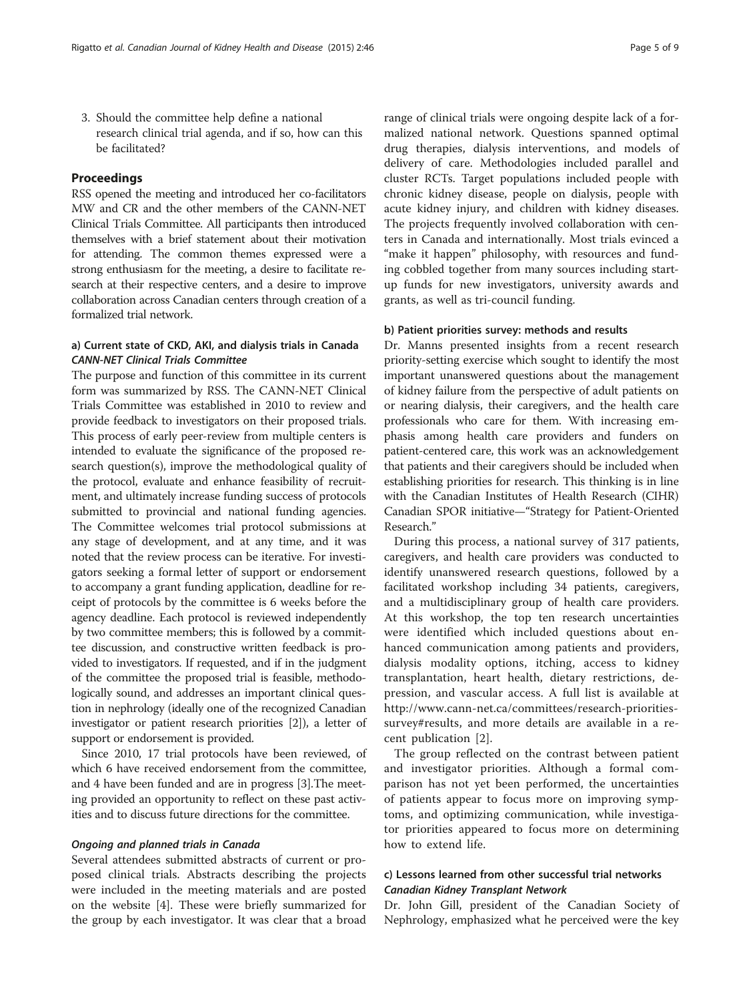3. Should the committee help define a national research clinical trial agenda, and if so, how can this be facilitated?

### Proceedings

RSS opened the meeting and introduced her co-facilitators MW and CR and the other members of the CANN-NET Clinical Trials Committee. All participants then introduced themselves with a brief statement about their motivation for attending. The common themes expressed were a strong enthusiasm for the meeting, a desire to facilitate research at their respective centers, and a desire to improve collaboration across Canadian centers through creation of a formalized trial network.

# a) Current state of CKD, AKI, and dialysis trials in Canada CANN-NET Clinical Trials Committee

The purpose and function of this committee in its current form was summarized by RSS. The CANN-NET Clinical Trials Committee was established in 2010 to review and provide feedback to investigators on their proposed trials. This process of early peer-review from multiple centers is intended to evaluate the significance of the proposed research question(s), improve the methodological quality of the protocol, evaluate and enhance feasibility of recruitment, and ultimately increase funding success of protocols submitted to provincial and national funding agencies. The Committee welcomes trial protocol submissions at any stage of development, and at any time, and it was noted that the review process can be iterative. For investigators seeking a formal letter of support or endorsement to accompany a grant funding application, deadline for receipt of protocols by the committee is 6 weeks before the agency deadline. Each protocol is reviewed independently by two committee members; this is followed by a committee discussion, and constructive written feedback is provided to investigators. If requested, and if in the judgment of the committee the proposed trial is feasible, methodologically sound, and addresses an important clinical question in nephrology (ideally one of the recognized Canadian investigator or patient research priorities [\[2\]](#page-8-0)), a letter of support or endorsement is provided.

Since 2010, 17 trial protocols have been reviewed, of which 6 have received endorsement from the committee, and 4 have been funded and are in progress [[3](#page-8-0)].The meeting provided an opportunity to reflect on these past activities and to discuss future directions for the committee.

## Ongoing and planned trials in Canada

Several attendees submitted abstracts of current or proposed clinical trials. Abstracts describing the projects were included in the meeting materials and are posted on the website [[4\]](#page-8-0). These were briefly summarized for the group by each investigator. It was clear that a broad range of clinical trials were ongoing despite lack of a formalized national network. Questions spanned optimal drug therapies, dialysis interventions, and models of delivery of care. Methodologies included parallel and cluster RCTs. Target populations included people with chronic kidney disease, people on dialysis, people with acute kidney injury, and children with kidney diseases. The projects frequently involved collaboration with centers in Canada and internationally. Most trials evinced a "make it happen" philosophy, with resources and funding cobbled together from many sources including startup funds for new investigators, university awards and grants, as well as tri-council funding.

#### b) Patient priorities survey: methods and results

Dr. Manns presented insights from a recent research priority-setting exercise which sought to identify the most important unanswered questions about the management of kidney failure from the perspective of adult patients on or nearing dialysis, their caregivers, and the health care professionals who care for them. With increasing emphasis among health care providers and funders on patient-centered care, this work was an acknowledgement that patients and their caregivers should be included when establishing priorities for research. This thinking is in line with the Canadian Institutes of Health Research (CIHR) Canadian SPOR initiative—"Strategy for Patient-Oriented Research."

During this process, a national survey of 317 patients, caregivers, and health care providers was conducted to identify unanswered research questions, followed by a facilitated workshop including 34 patients, caregivers, and a multidisciplinary group of health care providers. At this workshop, the top ten research uncertainties were identified which included questions about enhanced communication among patients and providers, dialysis modality options, itching, access to kidney transplantation, heart health, dietary restrictions, depression, and vascular access. A full list is available at [http://www.cann-net.ca/committees/research-priorities](http://www.cann-net.ca/committees/research-priorities-survey#results)[survey#results](http://www.cann-net.ca/committees/research-priorities-survey#results), and more details are available in a recent publication [\[2](#page-8-0)].

The group reflected on the contrast between patient and investigator priorities. Although a formal comparison has not yet been performed, the uncertainties of patients appear to focus more on improving symptoms, and optimizing communication, while investigator priorities appeared to focus more on determining how to extend life.

## c) Lessons learned from other successful trial networks Canadian Kidney Transplant Network

Dr. John Gill, president of the Canadian Society of Nephrology, emphasized what he perceived were the key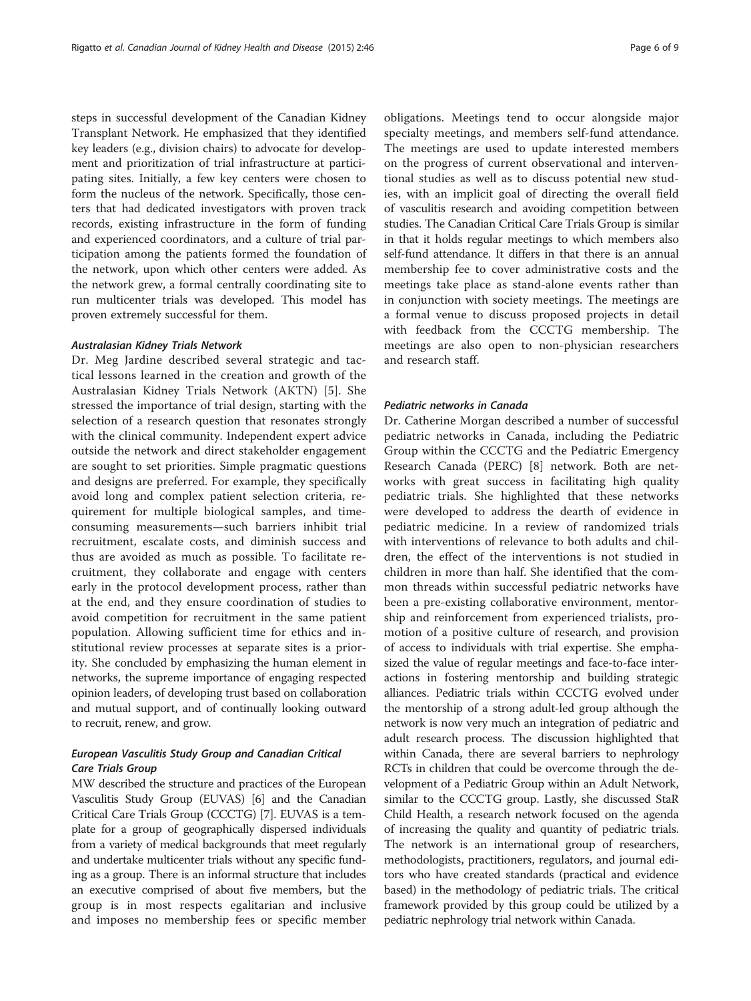steps in successful development of the Canadian Kidney Transplant Network. He emphasized that they identified key leaders (e.g., division chairs) to advocate for development and prioritization of trial infrastructure at participating sites. Initially, a few key centers were chosen to form the nucleus of the network. Specifically, those centers that had dedicated investigators with proven track records, existing infrastructure in the form of funding and experienced coordinators, and a culture of trial participation among the patients formed the foundation of the network, upon which other centers were added. As the network grew, a formal centrally coordinating site to run multicenter trials was developed. This model has proven extremely successful for them.

#### Australasian Kidney Trials Network

Dr. Meg Jardine described several strategic and tactical lessons learned in the creation and growth of the Australasian Kidney Trials Network (AKTN) [\[5](#page-8-0)]. She stressed the importance of trial design, starting with the selection of a research question that resonates strongly with the clinical community. Independent expert advice outside the network and direct stakeholder engagement are sought to set priorities. Simple pragmatic questions and designs are preferred. For example, they specifically avoid long and complex patient selection criteria, requirement for multiple biological samples, and timeconsuming measurements—such barriers inhibit trial recruitment, escalate costs, and diminish success and thus are avoided as much as possible. To facilitate recruitment, they collaborate and engage with centers early in the protocol development process, rather than at the end, and they ensure coordination of studies to avoid competition for recruitment in the same patient population. Allowing sufficient time for ethics and institutional review processes at separate sites is a priority. She concluded by emphasizing the human element in networks, the supreme importance of engaging respected opinion leaders, of developing trust based on collaboration and mutual support, and of continually looking outward to recruit, renew, and grow.

# European Vasculitis Study Group and Canadian Critical Care Trials Group

MW described the structure and practices of the European Vasculitis Study Group (EUVAS) [[6](#page-8-0)] and the Canadian Critical Care Trials Group (CCCTG) [\[7](#page-8-0)]. EUVAS is a template for a group of geographically dispersed individuals from a variety of medical backgrounds that meet regularly and undertake multicenter trials without any specific funding as a group. There is an informal structure that includes an executive comprised of about five members, but the group is in most respects egalitarian and inclusive and imposes no membership fees or specific member

obligations. Meetings tend to occur alongside major specialty meetings, and members self-fund attendance. The meetings are used to update interested members on the progress of current observational and interventional studies as well as to discuss potential new studies, with an implicit goal of directing the overall field of vasculitis research and avoiding competition between studies. The Canadian Critical Care Trials Group is similar in that it holds regular meetings to which members also self-fund attendance. It differs in that there is an annual membership fee to cover administrative costs and the meetings take place as stand-alone events rather than in conjunction with society meetings. The meetings are a formal venue to discuss proposed projects in detail with feedback from the CCCTG membership. The meetings are also open to non-physician researchers and research staff.

#### Pediatric networks in Canada

Dr. Catherine Morgan described a number of successful pediatric networks in Canada, including the Pediatric Group within the CCCTG and the Pediatric Emergency Research Canada (PERC) [\[8](#page-8-0)] network. Both are networks with great success in facilitating high quality pediatric trials. She highlighted that these networks were developed to address the dearth of evidence in pediatric medicine. In a review of randomized trials with interventions of relevance to both adults and children, the effect of the interventions is not studied in children in more than half. She identified that the common threads within successful pediatric networks have been a pre-existing collaborative environment, mentorship and reinforcement from experienced trialists, promotion of a positive culture of research, and provision of access to individuals with trial expertise. She emphasized the value of regular meetings and face-to-face interactions in fostering mentorship and building strategic alliances. Pediatric trials within CCCTG evolved under the mentorship of a strong adult-led group although the network is now very much an integration of pediatric and adult research process. The discussion highlighted that within Canada, there are several barriers to nephrology RCTs in children that could be overcome through the development of a Pediatric Group within an Adult Network, similar to the CCCTG group. Lastly, she discussed StaR Child Health, a research network focused on the agenda of increasing the quality and quantity of pediatric trials. The network is an international group of researchers, methodologists, practitioners, regulators, and journal editors who have created standards (practical and evidence based) in the methodology of pediatric trials. The critical framework provided by this group could be utilized by a pediatric nephrology trial network within Canada.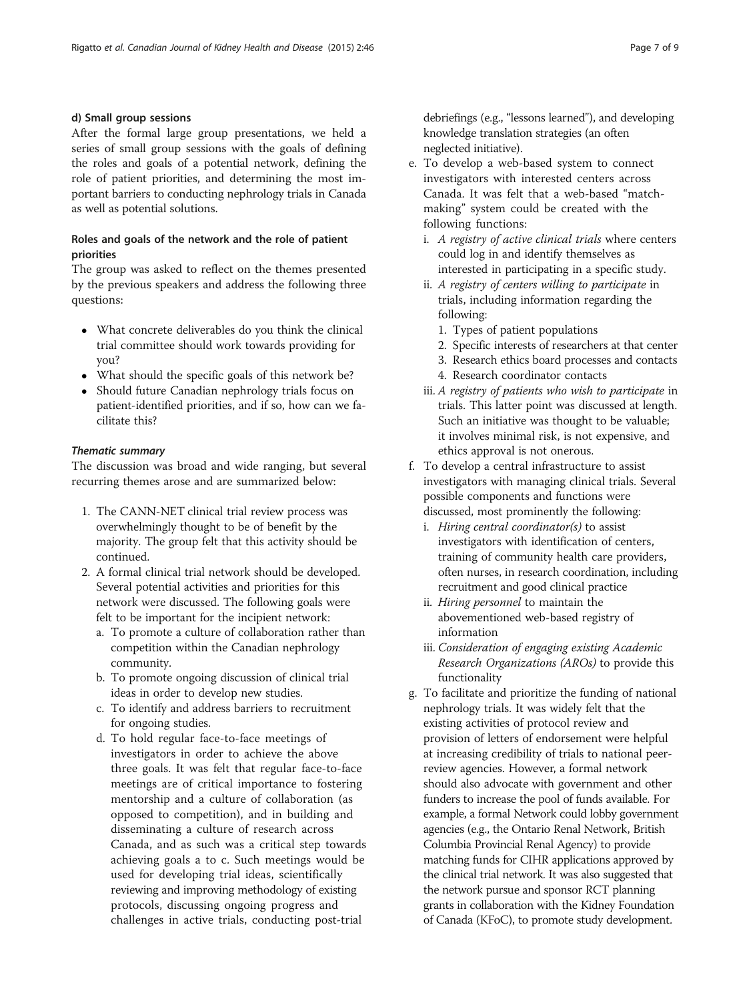# d) Small group sessions

After the formal large group presentations, we held a series of small group sessions with the goals of defining the roles and goals of a potential network, defining the role of patient priorities, and determining the most important barriers to conducting nephrology trials in Canada as well as potential solutions.

# Roles and goals of the network and the role of patient priorities

The group was asked to reflect on the themes presented by the previous speakers and address the following three questions:

- What concrete deliverables do you think the clinical trial committee should work towards providing for you?
- What should the specific goals of this network be?
- Should future Canadian nephrology trials focus on patient-identified priorities, and if so, how can we facilitate this?

# Thematic summary

The discussion was broad and wide ranging, but several recurring themes arose and are summarized below:

- 1. The CANN-NET clinical trial review process was overwhelmingly thought to be of benefit by the majority. The group felt that this activity should be continued.
- 2. A formal clinical trial network should be developed. Several potential activities and priorities for this network were discussed. The following goals were felt to be important for the incipient network:
	- a. To promote a culture of collaboration rather than competition within the Canadian nephrology community.
	- b. To promote ongoing discussion of clinical trial ideas in order to develop new studies.
	- c. To identify and address barriers to recruitment for ongoing studies.
	- d. To hold regular face-to-face meetings of investigators in order to achieve the above three goals. It was felt that regular face-to-face meetings are of critical importance to fostering mentorship and a culture of collaboration (as opposed to competition), and in building and disseminating a culture of research across Canada, and as such was a critical step towards achieving goals a to c. Such meetings would be used for developing trial ideas, scientifically reviewing and improving methodology of existing protocols, discussing ongoing progress and challenges in active trials, conducting post-trial

debriefings (e.g., "lessons learned"), and developing knowledge translation strategies (an often neglected initiative).

- e. To develop a web-based system to connect investigators with interested centers across Canada. It was felt that a web-based "matchmaking" system could be created with the following functions:
	- i. A registry of active clinical trials where centers could log in and identify themselves as interested in participating in a specific study.
	- ii. A registry of centers willing to participate in trials, including information regarding the following:
		- 1. Types of patient populations
		- 2. Specific interests of researchers at that center
		- 3. Research ethics board processes and contacts
		- 4. Research coordinator contacts
	- iii. A registry of patients who wish to participate in trials. This latter point was discussed at length. Such an initiative was thought to be valuable; it involves minimal risk, is not expensive, and ethics approval is not onerous.
- f. To develop a central infrastructure to assist investigators with managing clinical trials. Several possible components and functions were discussed, most prominently the following:
	- i. Hiring central coordinator(s) to assist investigators with identification of centers, training of community health care providers, often nurses, in research coordination, including recruitment and good clinical practice
	- ii. Hiring personnel to maintain the abovementioned web-based registry of information
	- iii. Consideration of engaging existing Academic Research Organizations (AROs) to provide this functionality
- g. To facilitate and prioritize the funding of national nephrology trials. It was widely felt that the existing activities of protocol review and provision of letters of endorsement were helpful at increasing credibility of trials to national peerreview agencies. However, a formal network should also advocate with government and other funders to increase the pool of funds available. For example, a formal Network could lobby government agencies (e.g., the Ontario Renal Network, British Columbia Provincial Renal Agency) to provide matching funds for CIHR applications approved by the clinical trial network. It was also suggested that the network pursue and sponsor RCT planning grants in collaboration with the Kidney Foundation of Canada (KFoC), to promote study development.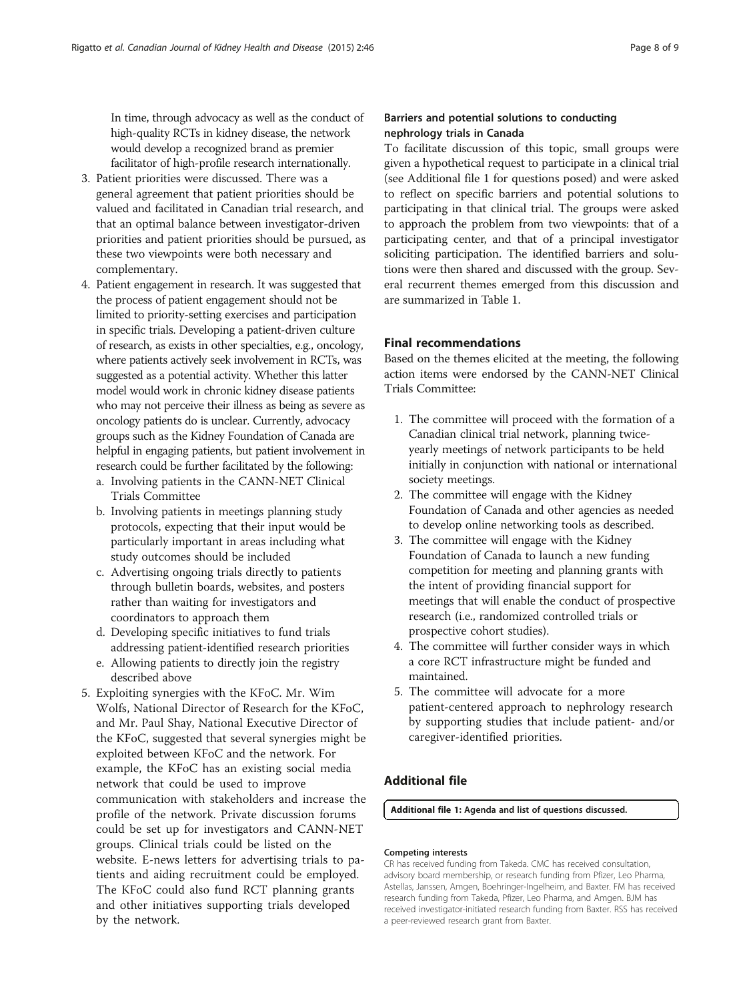In time, through advocacy as well as the conduct of high-quality RCTs in kidney disease, the network would develop a recognized brand as premier facilitator of high-profile research internationally.

- 3. Patient priorities were discussed. There was a general agreement that patient priorities should be valued and facilitated in Canadian trial research, and that an optimal balance between investigator-driven priorities and patient priorities should be pursued, as these two viewpoints were both necessary and complementary.
- 4. Patient engagement in research. It was suggested that the process of patient engagement should not be limited to priority-setting exercises and participation in specific trials. Developing a patient-driven culture of research, as exists in other specialties, e.g., oncology, where patients actively seek involvement in RCTs, was suggested as a potential activity. Whether this latter model would work in chronic kidney disease patients who may not perceive their illness as being as severe as oncology patients do is unclear. Currently, advocacy groups such as the Kidney Foundation of Canada are helpful in engaging patients, but patient involvement in research could be further facilitated by the following:
	- a. Involving patients in the CANN-NET Clinical Trials Committee
	- b. Involving patients in meetings planning study protocols, expecting that their input would be particularly important in areas including what study outcomes should be included
	- c. Advertising ongoing trials directly to patients through bulletin boards, websites, and posters rather than waiting for investigators and coordinators to approach them
	- d. Developing specific initiatives to fund trials addressing patient-identified research priorities
	- e. Allowing patients to directly join the registry described above
- 5. Exploiting synergies with the KFoC. Mr. Wim Wolfs, National Director of Research for the KFoC, and Mr. Paul Shay, National Executive Director of the KFoC, suggested that several synergies might be exploited between KFoC and the network. For example, the KFoC has an existing social media network that could be used to improve communication with stakeholders and increase the profile of the network. Private discussion forums could be set up for investigators and CANN-NET groups. Clinical trials could be listed on the website. E-news letters for advertising trials to patients and aiding recruitment could be employed. The KFoC could also fund RCT planning grants and other initiatives supporting trials developed by the network.

# Barriers and potential solutions to conducting nephrology trials in Canada

To facilitate discussion of this topic, small groups were given a hypothetical request to participate in a clinical trial (see Additional file 1 for questions posed) and were asked to reflect on specific barriers and potential solutions to participating in that clinical trial. The groups were asked to approach the problem from two viewpoints: that of a participating center, and that of a principal investigator soliciting participation. The identified barriers and solutions were then shared and discussed with the group. Several recurrent themes emerged from this discussion and are summarized in Table [1.](#page-2-0)

# Final recommendations

Based on the themes elicited at the meeting, the following action items were endorsed by the CANN-NET Clinical Trials Committee:

- 1. The committee will proceed with the formation of a Canadian clinical trial network, planning twiceyearly meetings of network participants to be held initially in conjunction with national or international society meetings.
- 2. The committee will engage with the Kidney Foundation of Canada and other agencies as needed to develop online networking tools as described.
- 3. The committee will engage with the Kidney Foundation of Canada to launch a new funding competition for meeting and planning grants with the intent of providing financial support for meetings that will enable the conduct of prospective research (i.e., randomized controlled trials or prospective cohort studies).
- 4. The committee will further consider ways in which a core RCT infrastructure might be funded and maintained.
- 5. The committee will advocate for a more patient-centered approach to nephrology research by supporting studies that include patient- and/or caregiver-identified priorities.

# Additional file

[Additional file 1:](dx.doi.org/10.1186/s40697-015-0080-7) Agenda and list of questions discussed.

### Competing interests

CR has received funding from Takeda. CMC has received consultation, advisory board membership, or research funding from Pfizer, Leo Pharma, Astellas, Janssen, Amgen, Boehringer-Ingelheim, and Baxter. FM has received research funding from Takeda, Pfizer, Leo Pharma, and Amgen. BJM has received investigator-initiated research funding from Baxter. RSS has received a peer-reviewed research grant from Baxter.